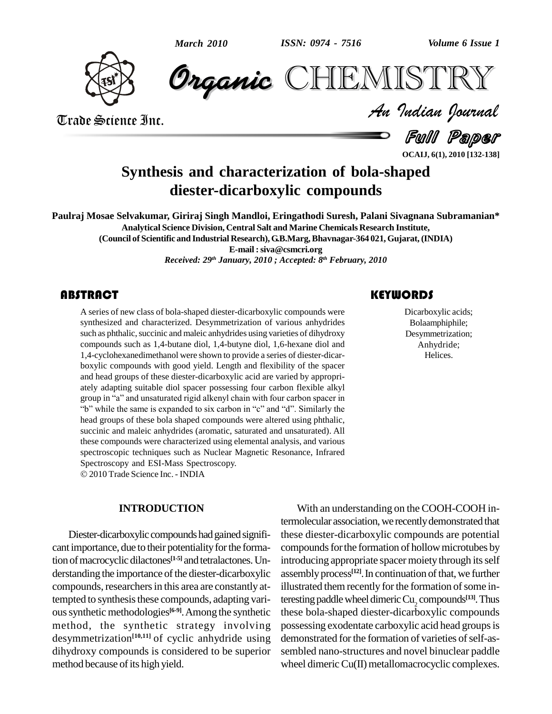

**CHEMISTRY** 

Trade Science Inc. Trade Science Inc.

*Volume 6 Issue 1*<br> $\begin{array}{c} \P \subset \Gamma \to \Gamma \ \P \subset \Gamma \end{array}$ 

Full Paper

# **Synthesis and characterization of bola-shaped diester-dicarboxylic compounds**

**Paulraj Mosae Selvakumar, Giriraj Singh Mandloi, Eringathodi Suresh, Palani Sivagnana Subramanian\* Analytical Science Division, Central Salt and Marine Chemicals Research Institute, (Council of Scientific and Industrial Research), G.B.Marg,Bhavnagar-364 021, Gujarat, (INDIA) E-mail :[siva@csmcri.org](mailto:siva@csmcri.org)**

*Received: 29 th January, 2010 ; Accepted: 8 th February, 2010*

## **ABSTRACT**

A series of new class of<br>synthesized and characteristic such as phthalic, succinic A series of new class of bola-shaped diester-dicarboxylic compounds were synthesized and characterized. Desymmetrization of various anhydrides such as phthalic, succinic and maleic anhydrides using varieties of dihydroxy compounds such as 1,4-butane diol, 1,4-butyne diol, 1,6-hexane diol and 1,4-cyclohexanedimethanol were shown to provide a series of diester-dicar boxylic compounds with good yield. Length and flexibility of the spacer and head groups of these diester-dicarboxylic acid are varied by appropri ately adapting suitable diol spacer possessing four carbon flexible alkyl and head groups of these diester-dicarboxylic acid are varied by appropriately adapting suitable diol spacer possessing four carbon flexible alkyl group in "a" and unsaturated rigid alkenyl chain with four carbon spacer in y adapting suitable diol spacer possessing four carbon flexible alkyl<br>up in "a" and unsaturated rigid alkenyl chain with four carbon spacer in<br>while the same is expanded to six carbon in "c" and "d". Similarly the head groups of these bola shaped compounds were altered using phthalic, succinic and maleic anhydrides (aromatic, saturated and unsaturated). All these compounds were characterized using elemental analysis, and various spectroscopic techniques such as Nuclear Magnetic Resonance, Infrared Spectroscopy and ESI-Mass Spectroscopy.

2010Trade Science Inc. - INDIA

## **INTRODUCTION**

Diester-dicarboxylic compounds had gained significant importance, due to their potentiality for the formation of macrocyclic dilactones<sup>[1-5]</sup> and tetralactones. Un-<br>intro derstanding the importance of the diester-dicarboxylic compounds, researchers in this area are constantly attempted to synthesis these compounds, adapting various synthetic methodologies<sup>[6-9]</sup>. Among the synthetic these method, the synthetic strategy involving desymmetrization<sup>[10,11]</sup> of cyclic anhydride using demon dihydroxy compounds is considered to be superior method because of its high yield.

## **KEYWORDS**

Dicarboxylic acids:<br>Bolaamphiphile;<br>Desymmetrization; Dicarboxylic acids; Bolaamphiphile; Desymmetrization; Anhydride; Helices.

With an understanding on the COOH-COOH intermolecular association, we recently demonstrated that these diester-dicarboxylic compounds are potential compounds for the formation of hollow microtubes by introducing appropriate spacer moiety through its self assembly process<sup>[12]</sup>. In continuation of that, we further illustrated them recently for the formation of some interesting paddle wheel dimeric Cu<sub>2</sub> compounds<sup>[13]</sup>. Thus these bola-shaped diester-dicarboxylic compounds possessing exodentate carboxylic acid head groups is demonstrated for the formation of varieties of self-assembled nano-structures and novel binuclear paddle wheel dimeric  $Cu(II)$  metallomacrocyclic complexes.

**OCAIJ, 6(1), 2010 [132-138]**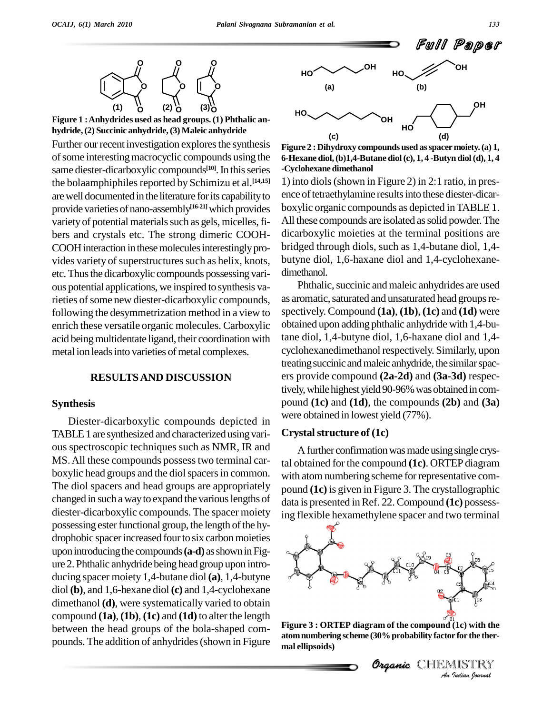**Figure 1 :Anhydrides used as head groups. (1) Phthalic an hydride,(2) Succinic anhydride,(3) Maleic anhydride**

Further our recent investigation explores the synthesis of some interesting macrocyclic compounds using the same diester-dicarboxylic compounds<sup>[10]</sup>. In this series  $-{\rm Cycl}$ the bolaamphiphiles reported by Schimizu et al.<sup>[14,15]</sup> 1 are well documented in the literature for its capability to provide varieties of nano-assembly<sup>[16-21]</sup> which provides boxy variety of potential materials such as gels, micelles, fibers and crystals etc. The strong dimeric COOH- COOH interaction in these molecules interestingly provides variety of superstructures such as helix, knots, etc. Thus the dicarboxylic compounds possessing various potential applications, we inspired to synthesis varieties of some new diester-dicarboxylic compounds, following the desymmetrization method in a view to enrich these versatile organic molecules. Carboxylic acid being multidentate ligand, their coordination with metal ion leads into varieties of metal complexes.

### **RESULTSAND DISCUSSION**

#### **Synthesis**

Diester-dicarboxylic compounds depicted in TABLE1 are synthesized and characterizedusing vari ous spectroscopic techniques such as NMR, IR and MS. All these compounds possess two terminal carboxylic head groups and the diol spacers in common. The diol spacers and head groups are appropriately changed in such a way to expand the various lengths of diester-dicarboxylic compounds. The spacer moiety possessing ester functional group, the length of the hydrophobic spacer increased four to six carbon moieties upon introducing the compounds (a-d) as shown in Figure 2.Phthalic anhydride being head group upon intro ducing spacer moiety 1,4-butane diol **(a)**, 1,4-butyne diol **(b)**, and 1,6-hexane diol **(c)** and 1,4-cyclohexane dimethanol **(d)**, were systematically varied to obtain compound **(1a)**, **(1b)**, **(1c)** and **(1d)** to alter the length between the head groups of the bola-shaped com pounds. The addition of anhydrides(shown in Figure



**Figure 2 :Dihydroxy compounds used asspacermoiety.(a) 1, 6-Hexane diol,(b)1,4-Butane diol(c), 1, 4 -Butyn diol(d), 1, 4 -Cyclohexane dimethanol**

1) into diols(shown in Figure 2) in 2:1 ratio, in pres ence of tetraethylamine results into these diester-dicarboxylic organic compounds as depicted inTABLE 1. All these compounds are isolated as solid powder. The dicarboxylic moieties at the terminal positions are bridged through diols, such as 1,4-butane diol, 1,4 butyne diol, 1,6-haxane diol and 1,4-cyclohexane dimethanol.

Phthalic, succinic and maleic anhydrides are used as aromatic, saturated and unsaturated head groups respectively. Compound **(1a)**, **(1b)**, **(1c)** and **(1d)** were obtained upon adding phthalic anhydride with 1,4-butane diol, 1,4-butyne diol, 1,6-haxane diol and 1,4 cyclohexanedimethanol respectively. Similarly, upon treating succinic and maleic anhydride, the similar spacers provide compound **(2a-2d)** and **(3a-3d)** respectively, while highest yield 90-96% was obtained in compound **(1c)** and **(1d)**, the compounds **(2b)** and **(3a)** were obtained in lowest yield (77%).

### **Crystalstructure of (1c)**

A further confirmation was made using single crystal obtained for the compound **(1c)**. ORTEP diagram with atom numbering scheme for representative compound **(1c)** is given in Figure 3. The crystallographic data is presented inRef. 22. Compound **(1c)** possessing flexible hexamethylene spacer and two terminal



*I*<sub>I</sub><br>*I*<br>(1c) with the<br>r for the ther-<br>IISTRY<br>Indian Iournal **Figure 3 : ORTEP diagram of the compound (1c) with the atomnumbering scheme (30%probability factor for the ther mal ellipsoids)**

Organic CHEMISTRY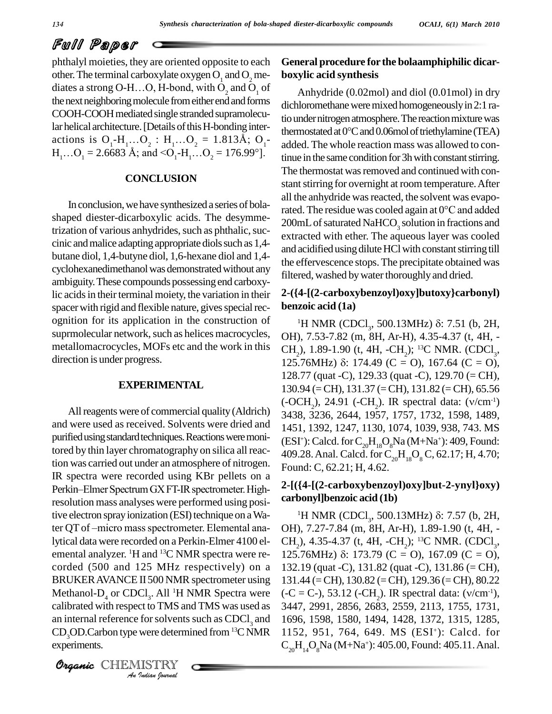# Full Paper

phthalyl moieties, they are oriented opposite to each **Gener**<br>other. The terminal carboxylate oxygen  $O_1$  and  $O_2$  me-<br>diates a strong O-H...O, H-bond, with  $O_2$  and  $O_1$  of An the next neighboring molecule from either end and forms COOH-COOH mediated single stranded supramolecular helical architecture. [Details of this H-bonding inter-<br>thermostated at  $0^{\circ}$ C and 0.06 mol of triethylamine (TEA) actions is  $O_1-H_1...O_2$ :  $H_1...O_2 = 1.813\text{\AA}$ ;  $O_1$ - $H_1...O_1 = 2.6683$  Å; and  $\leq O_1-H_1...O_2 = 176.99^{\circ}$ .

## **CONCLUSION**

In conclusion, we have synthesized a series of bolashaped diester-dicarboxylic acids. The desymmetrization of various anhydrides, such as phthalic, succinic and malice adapting appropriate diols such as 1,4butane diol, 1,4-butyne diol, 1,6-hexane diol and 1,4 cyclohexanedimethanol was demonstrated without any ambiguity.These compounds possessing end carboxylic acids in their terminal moiety, the variation in their spacer with rigid and flexible nature, gives special recognition for its application in the construction of suprmolecular network, such as helices macrocycles, metallomacrocycles, MOFs etc and the work in this direction is under progress.

### **EXPERIMENTAL**

Methanol- $D_4$  or CDCl<sub>3</sub>. All <sup>1</sup>H NMR Spectra were  $(-C =$ *Indian*<br>*Indian Indian*<br>*I*<br>*IISTRY*<br>*Indian hournal* and were used as received. Solvents were dried and purified using standard techniques. Reactions were monitored by thin layer chromatography on silica all reaction was carried out under an atmosphere of nitrogen. IR spectra were recorded using KBr pellets on a tion was carried out under an atmosphere of nitrogen.<br>IR spectra were recorded using KBr pellets on a<br>Perkin–Elmer Spectrum GX FT-IR spectrometer. Highresolution mass analyses were performed using posi-<br>tive electron spray ionization (ESI) technique on a Wa-<br>ter QT of –micro mass spectrometer. Elemental anative electron spray ionization (ESI) technique on a Walytical data were recorded on a Perkin-Elmer 4100 el emental analyzer. <sup>1</sup>H and <sup>13</sup>C NMR spectra were re- 125 corded (500 and 125 MHz respectively) on a BRUKERAVANCE II 500 NMR spectrometer using calibrated with respect to TMS and TMS was used as 3447, 2991, 2856, 2683, 2559, 2113, 1755, 1731, an internal reference for solvents such as CDCl<sub>2</sub> and  $CD_3OD.C$ arbon type were determined from <sup>13</sup>C NMR experiments.

CHEMISTRY COMMENT

## **General procedure for the bolaamphiphilic dicar boxylic acid synthesis**

Anhydride (0.02mol) and diol (0.01mol) in dry dichloromethane were mixed homogeneously in 2:1 ratio under nitrogen atmosphere. The reaction mixture was dichloromethane were mixed homogeneously in 2:1 ratio under nitrogen atmosphere. The reaction mixture was<br>thermostated at 0°C and 0.06mol of triethylamine (TEA) added. The whole reaction mass was allowed to continue in the same condition for 3h with constant stirring. The thermostat was removed and continued with constant stirring for overnight at room temperature. After all the anhydride was reacted, the solvent was evaporated. The residue was cooled again at 0°C and added 200mL of saturated NaHCO<sub>3</sub> solution in fractions and extracted with ether. The aqueous layer was cooled and acidified using dilute HCl with constant stirring till the effervescence stops.The precipitate obtained was filtered, washed by water thoroughly and dried.

# **2-({4-[(2-carboxybenzoyl)oxy]butoxy}carbonyl) benzoic acid (1a)** <sup>1</sup>H NMR (CDCl<sup>3</sup> , 500.13MHz) : 7.51 (b, 2H,

All reagents were of commercial quality (Aldrich)<br>All reagents were of commercial quality (Aldrich)<br> $3438\overline{3}336\overline{3}644\overline{1}957\overline{1}757\overline{1}732\overline{1}598\overline{1}489$ OH), 7.53-7.82 (m, 8H, Ar-H), 4.35-4.37 (t, 4H, -<br>CH<sub>2</sub>), 1.89-1.90 (t, 4H, -CH<sub>2</sub>); <sup>13</sup>C NMR. (CDCl<sub>3</sub>,<br>125.76MHz) δ: 174.49 (C = O), 167.64 (C = O), CH<sub>2</sub>), 1.89-1.90 (t, 4H, -CH<sub>2</sub>); <sup>13</sup>C NMR. (CDCl<sub>3</sub>, 128.77 (quat -C), 129.33 (quat -C), 129.70 (= CH),<br>130.94 (= CH), 131.37 (= CH), 131.82 (= CH), 65.56<br>(-OCH<sub>2</sub>), 24.91 (-CH<sub>2</sub>). IR spectral data: ( $v/cm^{-1}$ ) 130.94 (=CH), 131.37 (=CH), 131.82 (=CH), 65.56 3438, 3236, 2644, 1957, 1757, 1732, 1598, 1489, 1451, 1392, 1247, 1130, 1074, 1039, 938, 743. MS (ESI<sup>+</sup>): Calcd. for  $\text{C}_{20}\text{H}_{18}\text{O}_8\text{Na}$  (M+Na<sup>+</sup>): 409, Found: 409.28. Anal. Calcd. for  $C_{20}H_{18}O_8C$ , 62.17; H, 4.70; Found: C, 62.21; H, 4.62.

# **2-[({4-[(2-carboxybenzoyl)oxy]but-2-ynyl}oxy) carbonyl]benzoic acid (1b)** {4-[(*2*-carboxybenzoy1)0xy]but-*2*-yny1}0xy)<br>bonyl]benzoic acid (1b)<br><sup>1</sup>H NMR (CDCl<sub>3</sub>, 500.13MHz) δ: 7.57 (b, 2H,

OH), 7.27-7.84 (m, 8H, Ar-H), 1.89-1.90 (t, 4H, - CH<sub>2</sub>), 4.35-4.37 (t, 4H, -CH<sub>2</sub>); <sup>13</sup>C NMR. (CDCl<sub>3</sub>, OH), 7.27-7.84 (m, 8H, Ar-H), 1.89-1.90 (t, 4H, -<br>CH<sub>2</sub>), 4.35-4.37 (t, 4H, -CH<sub>2</sub>); <sup>13</sup>C NMR. (CDCl<sub>3</sub>,<br>125.76MHz) δ: 173.79 (C = O), 167.09 (C = O), 132.19 (quat -C), 131.82 (quat -C), 131.86 (= CH), 131.44 (=CH), 130.82 (=CH), 129.36 (=CH), 80.22 132.19 (quat -C), 131.82 (quat -C), 131.86 (= CH),<br>131.44 (= CH), 130.82 (= CH), 129.36 (= CH), 80.22<br>(-C = C-), 53.12 (-CH<sub>2</sub>). IR spectral data: ( $v/cm^{-1}$ ),<br>3447, 2991, 2856, 2683, 2559, 2113, 1755, 1731, 1696, 1598, 1580, 1494, 1428, 1372, 1315, 1285, 1152, 951, 764, 649. MS (ESI <sup>+</sup>): Calcd. for  $C_{20}H_{14}O_8N$ a (M+Na<sup>+</sup>): 405.00, Found: 405.11. Anal.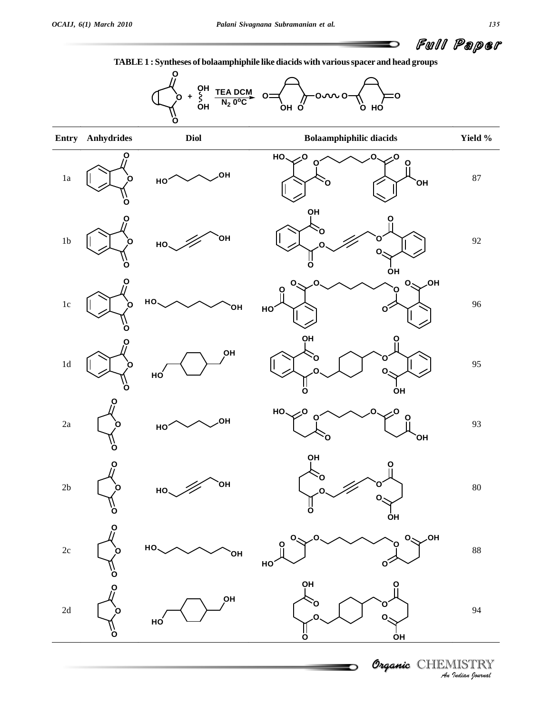

**TABLE1 : Syntheses of bolaamphiphile like diacids with variousspacer and head groups**



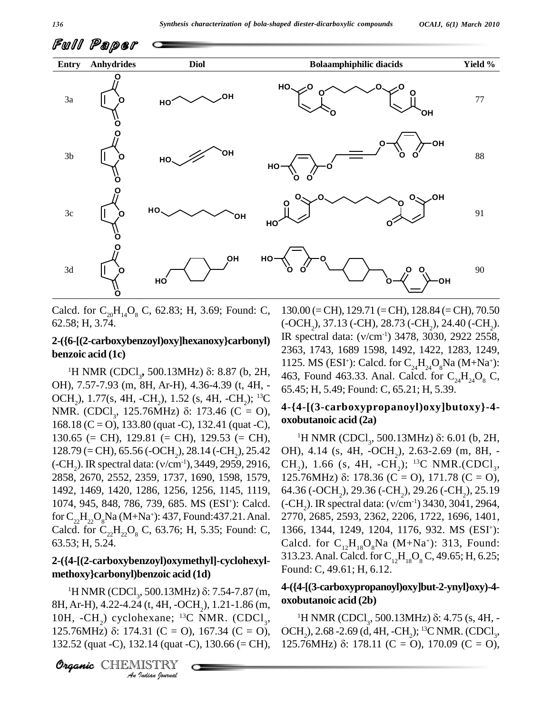

Calcd. for  $C_{20}H_{14}O_8$  C, 62.83; H, 3.69; Found: C, 62.58; H, 3.74.

# **benzoic acid (1c) 6-**[(2**-carboxybenzoyi)oxy]nexanoxy}carbonyi**) 23<br> **zoic acid (1c)** 1H NMR (CDCl<sub>3</sub>, 500.13MHz) δ: 8.87 (b, 2H,  $\frac{11}{46}$

OH), 7.57-7.93 (m, 8H, Ar-H), 4.36-4.39 (t, 4H, - 65.45; H, 5.49; Found: C, 65.21; H, 5.39. OCH<sub>2</sub>), 1.77(s, 4H, -CH<sub>2</sub>), 1.52 (s, 4H, -CH<sub>2</sub>); <sup>13</sup>C NMR. (CDCl<sub>2</sub>, 125.76MHz)  $\delta$ : 173.46 (C = O), 3 (m, 8H, Ar-H), 4.36-4.39 (t, 4H, -<br>4H, -CH<sub>2</sub>), 1.52 (s, 4H, -CH<sub>2</sub>); <sup>13</sup>C<br>, 125.76MHz) 8: 173.46 (C = O), 4-{  $168.18$  (C = O), 133.80 (quat -C), 132.41 (quat -C), 130.65 (= CH), 129.81 (= CH), 129.53 (= CH),<br>128.79 (= CH), 65.56 (-OCH<sub>2</sub>), 28.14 (-CH<sub>2</sub>), 25.42 O<br>(-CH<sub>2</sub>). IR spectral data: ( $v/cm^{-1}$ ), 3449, 2959, 2916, C<br>2858, 2670, 2552, 2359, 1737, 1690, 1598, 1579, 12  $128.79$  (= CH), 65.56 (-OCH<sub>2</sub>), 28.14 (-CH<sub>2</sub>), 25.42 OH), 4.14 (s, 4H, -OCH<sub>2</sub>), 2.63-2.69 (m, 8H, -1492, 1469, 1420, 1286, 1256, 1256, 1145, 1119, 1074, 945, 848, 786, 739, 685. MS (ESI <sup>+</sup>): Calcd. for  $C_{22}H_{22}O_8$ Na (M+Na<sup>+</sup>): 437, Found:437.21. Anal. 27 Calcd. for  $C_{22}H_{22}O_8$  C, 63.76; H, 5.35; Found: C, 63.53; H, 5.24.

## **2-({4-[(2-carboxybenzoyl)oxymethyl]-cyclohexyl methoxy}carbonyl)benzoic acid (1d)**  $-4$ -[(2-carboxybenzoyi)oxymethyl]-cyclonexyl-<br>hoxy}carbonyl)benzoic acid (1d)<br><sup>1</sup>H NMR (CDCl<sub>3</sub>, 500.13MHz)  $\delta$ : 7.54-7.87 (m,

**H** Ar<sub>t</sub>H A<sub>r</sub><sub>O</sub> 8H, Ar-H), 4.22-4.24 (t, 4H, -OCH<sub>2</sub>), 1.21-1.86 (m, **0x** 10H, -CH<sub>2</sub>) cyclohexane; <sup>13</sup>C NMR. (CDCl<sub>3</sub>, 125.76MHz) δ: 174.31 (C = O), 167.34 (C = O), OC 132.52 (quat -C), 132.14 (quat -C), 130.66 (= CH), 12.<br>**Organic** CH 8H, Ar-H), 4.22-4.24 (t, 4H, -OCH<sub>2</sub>), 1.21-1.86 (m, <sup>0X0</sup><br>10H, -CH<sub>2</sub>) cyclohexane; <sup>13</sup>C NMR. (CDCl<sub>3</sub>, 125.76MHz)  $\delta$ : 174.31 (C = O), 167.34 (C = O), OC. 132.52 (quat -C), 132.14 (quat -C), 130.66 (= CH), 125.76MHz)  $\delta$ : 178.11 (C = O), 170.09 (C = O),

Organic CHEMISTRY

**2-({6-[(2-carboxybenzoyl)oxy]hexanoxy}carbonyl)** 130.00 (=CH), 129.71 (=CH), 128.84 (=CH), 70.50  $(-OCH<sub>2</sub>), 37.13 (-CH), 28.73 (-CH<sub>2</sub>), 24.40 (-CH<sub>2</sub>).$ 2363, 1743, 1689 1598, 1492, 1422, 1283, 1249, 1125. MS (ESI<sup>+</sup>): Calcd. for  $C_{24}H_{24}O_8Na$  (M+Na<sup>+</sup>): 463, Found 463.33. Anal. Calcd. for  $C_{24}H_{24}O_{8}$  C,

## **4-{4-[(3-carboxypropanoyl)oxy]butoxy}-4 oxobutanoic acid (2a)** 4-[(3-carboxypropanoyl)0xy]but0xy}-4-<br>butanoic acid (2a)<br><sup>1</sup>H NMR (CDCl<sub>3</sub>, 500.13MHz)  $\delta$ : 6.01 (b, 2H,

OH), 4.14 (s, 4H, -OCH<sub>2</sub>), 2.63-2.69 (m, 8H, -<br>CH<sub>2</sub>), 1.66 (s, 4H, -CH<sub>2</sub>); <sup>13</sup>C NMR.(CDCl<sub>3</sub>, OH), 4.14 (s, 4H, -OCH<sub>2</sub>), 2.63-2.69 (m, 8H, -<br>CH<sub>2</sub>), 1.66 (s, 4H, -CH<sub>2</sub>); <sup>13</sup>C NMR.(CDCl<sub>3</sub>,<br>125.76MHz) δ: 178.36 (C = O), 171.78 (C = O), 64.36 (-OCH<sub>2</sub>), 29.36 (-CH<sub>2</sub>), 29.26 (-CH<sub>2</sub>), 25.19 125.76MHz)  $\delta$ : 178.36 (C = O), 171.78 (C = O),<br>64.36 (-OCH<sub>2</sub>), 29.36 (-CH<sub>2</sub>), 29.26 (-CH<sub>2</sub>), 25.19<br>(-CH<sub>2</sub>). IR spectral data: (v/cm<sup>-1</sup>) 3430, 3041, 2964,<br>2770, 2685, 2593, 2362, 2206, 1722, 1696, 1401, 1366, 1344, 1249, 1204, 1176, 932. MS (ESI <sup>+</sup>): Calcd. for  $C_{12}H_{18}O_8Na$  (M+Na<sup>+</sup>): 313, Found: 313.23. Anal. Calcd. for  $C_{12}H_{18}O_8C$ , 49.65; H, 6.25; Found: C, 49.61; H, 6.12.

## **4-({4-[(3-carboxypropanoyl)oxy]but-2-ynyl}oxy)-4 oxobutanoic acid (2b)** <sup>1</sup>H NMR (CDCl<sup>3</sup> , 500.13MHz) : 4.75 (s, 4H, -

OCH<sub>2</sub>), 2.68 -2.69 (d, 4H, -CH<sub>2</sub>); <sup>13</sup>C NMR. (CDCl<sub>3</sub>, <sup>1</sup>H NMR (CDCl<sub>3</sub>, 500.13MHz)  $\delta$ : 4.75 (s, 4H, -<br>OCH<sub>2</sub>), 2.68 -2.69 (d, 4H, -CH<sub>2</sub>); <sup>13</sup>C NMR. (CDCl<sub>3</sub>,<br>125.76MHz)  $\delta$ : 178.11 (C = O), 170.09 (C = O),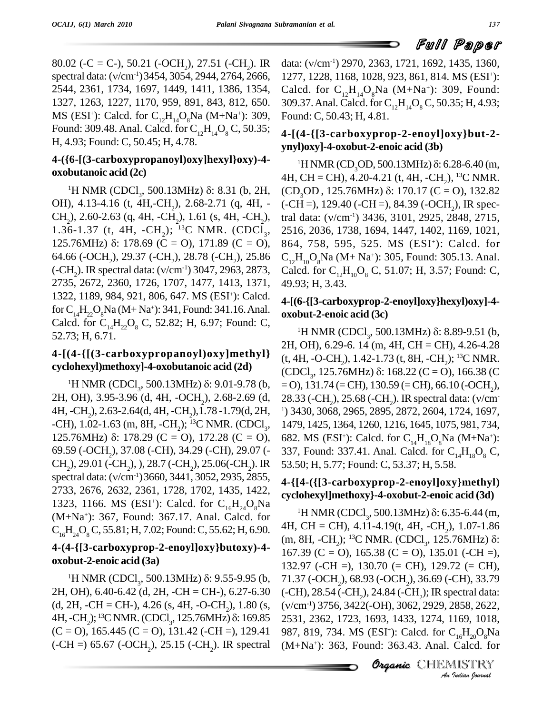80.02 (-C = C-), 50.21 (-OCH<sub>2</sub>), 27.51 (-CH<sub>2</sub>). IR data: (v/c 80.02 (-C = C-), 50.21 (-OCH<sub>2</sub>), 27.51 (-CH<sub>2</sub>). IR daspectral data:  $(v/cm^{-1})$ 3454, 3054, 2944, 2764, 2666, 12 2544, 2361, 1734, 1697, 1449, 1411, 1386, 1354, 1327, 1263, 1227, 1170, 959, 891, 843, 812, 650. MS (ESI<sup>+</sup>): Calcd. for  $C_{12}H_{14}O_8Na$  (M+Na<sup>+</sup>): 309, For Found: 309.48. Anal. Calcd. for  $C_{12}H_{14}O_8C$ , 50.35; H, 4.93; Found: C, 50.45; H, 4.78.

# **4-({6-[(3-carboxypropanoyl)oxy]hexyl}oxy)-4 oxobutanoic acid (2c)** 0-[(3-carboxypropanoyi)oxy]nexyi}oxy)-4-<br>butanoic acid (2c)  $4H$ <br><sup>1</sup>H NMR (CDCl<sub>3</sub>, 500.13MHz)  $\delta$ : 8.31 (b, 2H, (C

OH), 4.13-4.16 (t, 4H,-CH<sub>2</sub>), 2.68-2.71 (q, 4H, - (-C<br>CH<sub>2</sub>), 2.60-2.63 (q, 4H, -CH<sub>2</sub>), 1.61 (s, 4H, -CH<sub>2</sub>), tral<br>1.36-1.37 (t, 4H, -CH<sub>2</sub>); <sup>13</sup>C NMR. (CDCl<sub>3</sub>, 251 CH<sub>2</sub>), 2.60-2.63 (q, 4H, -CH<sub>2</sub>), 1.61 (s, 4H, -CH<sub>2</sub>), tral<br>1.36-1.37 (t, 4H, -CH<sub>2</sub>); <sup>13</sup>C NMR. (CDCl<sub>3</sub>, 251<br>125.76MHz) δ: 178.69 (C = O), 171.89 (C = O), 864 64.66 (-OCH<sub>2</sub>), 29.37 (-CH<sub>2</sub>), 28.78 (-CH<sub>2</sub>), 25.86  $\quad C_{12}H_{10}$ <sup>'</sup> 125.76MHz) δ: 178.69 (C = O), 171.89 (C = O), 86<br>64.66 (-OCH<sub>2</sub>), 29.37 (-CH<sub>2</sub>), 28.78 (-CH<sub>2</sub>), 25.86 C<sub>1</sub><br>(-CH<sub>2</sub>). IR spectral data: (v/cm<sup>-1</sup>) 3047, 2963, 2873, C<sub>3</sub><br>2735, 2672, 2360, 1726, 1707, 1477, 1413, 1371, 49 1322, 1189, 984, 921, 806, 647. MS (ESI<sup>+</sup>): Calcd. for  $C_{14}H_{22}O_8$ Na (M+ Na<sup>+</sup>): 341, Found: 341.16. Anal.  $\sigma_{\rm M}$ Calcd. for  $C_{14}H_{22}O_8$  C, 52.82; H, 6.97; Found: C, 52.73; H, 6.71.

# **4-[(4-{[(3-carboxypropanoyl)oxy]methyl}** (t, 4H, -O-CH<sub>2</sub>), 1.42-1.73 (t, 8H, -CH<sub>2</sub>); <sup>13</sup>C NMR. **cyclohexyl)methoxy]-4-oxobutanoic acid (2d)** (4-{1(3-carboxypropanoy1)oxy]methy1}<br>|ohexyl)methoxy]-4-oxobutanoic acid (2d) (CI<br>|H NMR (CDCl<sub>3</sub>, 500.13MHz)  $\delta$ : 9.01-9.78 (b, = O

2H, OH), 3.95-3.96 (d, 4H, -OCH<sub>2</sub>), 2.68-2.69 (d, 28.33 (-CH<sub>2</sub>), 25.68 (-CH<sub>2</sub>). IR spectral data: (v/cm<sup>-</sup><br>4H, -CH<sub>2</sub>), 2.63-2.64(d, 4H, -CH<sub>2</sub>), 1.78 -1.79(d, 2H, <sup>1</sup>) 3430, 3068, 2965, 2895, 2872, 2604, 1724, 1697, -C 125.76MHz)  $\delta$ : 178.29 (C = O), 172.28 (C = O), 69.59 (-OCH<sub>2</sub>), 37.08 (-CH), 34.29 (-CH), 29.07 (- 337, Four<br>CH<sub>2</sub>), 29.01 (-CH<sub>2</sub>), ), 28.7 (-CH<sub>2</sub>), 25.06(-CH<sub>2</sub>). IR 53.50; H,<br>spectral data: (v/cm<sup>-1</sup>) 3660, 3441, 3052, 2935, 2855, 4.114.01 2733, 2676, 2632, 2361, 1728, 1702, 1435, 1422, 1323, 1166. MS (ESI<sup>+</sup>): Calcd. for C<sub>16</sub>H<sub>24</sub>O<sub>8</sub>Na (M+Na<sup>+</sup>): 367, Found: 367.17. Anal. Calcd. for  $C_{16}H_{24}O_{8}C$ , 55.81; H, 7.02; Found: C, 55.62; H, 6.90.

# **4-(4-{[3-carboxyprop-2-enoyl]oxy}butoxy)-4 oxobut-2-enoic acid (3a) 1-{**[3-carboxyprop-2-enoyi]oxy}butoxy)-4-<br>but-2-enoic acid (3a) 132<br><sup>1</sup>H NMR (CDCl<sub>3</sub>, 500.13MHz)  $\delta$ : 9.55-9.95 (b, 71.

2H, OH), 6.40-6.42 (d, 2H, -CH = CH-), 6.27-6.30 2H, OH), 6.40-6.42 (d, 2H, -CH = CH-), 6.27-6.30 (-CH),<br>(d, 2H, -CH = CH-), 4.26 (s, 4H, -O-CH<sub>2</sub>), 1.80 (s, (v/cm<sup>-</sup><br>4H, -CH<sub>2</sub>); <sup>13</sup>C NMR. (CDCl<sub>3</sub>, 125.76MHz) δ: 169.85 2531, 1  $(C = 0)$ , 165.445  $(C = 0)$ , 131.42 (-CH =), 129.41  $(-CH =) 65.67 (-OCH_2), 25.15 (-CH_2).$  IR spectral

data:  $(v/cm^{-1})$  2970, 2363, 1721, 1692, 1435, 1360, 1277, 1228, 1168, 1028, 923, 861, 814. MS (ESI <sup>+</sup>): Calcd. for  $C_{12}H_{14}O_8Na$  (M+Na<sup>+</sup>): 309, Found: 309.37. Anal. Calcd. for  $C_{12}H_{14}O_8C$ , 50.35; H, 4.93; Found: C, 50.43; H, 4.81.

## **4-[(4-{[3-carboxyprop-2-enoyl]oxy}but-2 ynyl)oxy]-4-oxobut-2-enoic acid (3b)**

, 2516, 2036, 1738, 1694, 1447, 1402, 1169, 1021, <sup>1</sup>H NMR (CD<sub>3</sub>OD, 500.13MHz)  $\delta$ : 6.28-6.40 (m, 4H, CH = CH), 4.20-4.21 (t, 4H, -CH<sub>2</sub>), <sup>13</sup>C NMR. (CD<sub>3</sub>OD, 125.76MHz)  $\delta$ : 170.17 (C = O), 132.82  $(-CH =)$ , 129.40 (-CH =), 84.39 (-OCH<sub>2</sub>), IR spec-(CD<sub>3</sub>OD, 125.76MHz)  $\delta$ : 170.17 (C = O), 132.82<br>(-CH =), 129.40 (-CH =), 84.39 (-OCH<sub>2</sub>), IR spectral data: (v/cm<sup>-1</sup>) 3436, 3101, 2925, 2848, 2715, 864, 758, 595, 525. MS (ESI <sup>+</sup>): Calcd. for  $C_{12}H_{10}O_8Na$  (M+ Na<sup>+</sup>): 305, Found: 305.13. Anal. Calcd. for  $C_{12}H_{10}O_8$  C, 51.07; H, 3.57; Found: C, 49.93; H, 3.43.

# **4-[(6-{[3-carboxyprop-2-enoyl]oxy}hexyl)oxy]-4 oxobut-2-enoic acid (3c) o-{[3-carboxyprop-2-enoyi]oxy}nexyi)oxy]-4-<br>but-2-enoic acid (3c)**<br><sup>1</sup>H NMR (CDCl<sub>3</sub>, 500.13MHz) δ: 8.89-9.51 (b,

, 1479, 1425, 1364, 1260, 1216, 1645, 1075, 981, 734, 2H, OH), 6.29-6. 14 (m, 4H, CH = CH), 4.26-4.28 2H, OH), 6.29-6. 14 (m, 4H, CH = CH), 4.26-4.28<br>(t, 4H, -O-CH<sub>2</sub>), 1.42-1.73 (t, 8H, -CH<sub>2</sub>); <sup>13</sup>C NMR.<br>(CDCl<sub>3</sub>, 125.76MHz) δ: 168.22 (C = O), 166.38 (C  $=$  O), 131.74 (= CH), 130.59 (= CH), 66.10 (-OCH<sub>2</sub>), 682. MS (ESI<sup>+</sup>): Calcd. for  $C_{14}H_{18}O_8Na$  (M+Na<sup>+</sup>): 337, Found: 337.41. Anal. Calcd. for  $C_{14}H_{18}O_8C$ , 53.50; H, 5.77; Found: C, 53.37; H, 5.58.

# **4-{[4-({[3-carboxyprop-2-enoyl]oxy}methyl) cyclohexyl]methoxy}-4-oxobut-2-enoic acid (3d)** 4-({[3-carboxyprop-2-enoy1]oxy}methy1)<br>|ohexyl]methoxy}-4-oxobut-2-enoic acid (3d)<br><sup>1</sup>H NMR (CDCl<sub>3</sub>, 500.13MHz) δ: 6.35-6.44 (m,

(-CH), 28.54 (-CH<sub>2</sub>), 24.84 (-CH<sub>2</sub>); IR spectral data:<br>(*v/am*<sup>-1)</sup> 2756 2422( OU), 2062, 2020, 2858, 2622 *(v/cm<sup>-1</sup>)* 3756, 3422(-OH), 3062, 2929, 2858, 2622, 2858, 2622,<br>169, 1018,<br>C<sub>16</sub>H<sub>20</sub>O<sub>8</sub>Na<br>Calcd. for<br>IlSTRY 4H, CH = CH), 4.11-4.19(t, 4H, -CH<sub>2</sub>), 1.07-1.86 (m, 8H, -CH<sub>2</sub>); <sup>13</sup>C NMR. (CDCl<sub>3</sub>, 125.76MHz) δ: , 125.76MHz) : 167.39 (C = O), 165.38 (C = O), 135.01 (-CH =), 132.97 (-CH =), 130.70 (= CH), 129.72 (= CH),<br>71.37 (-OCH<sub>2</sub>), 68.93 (-OCH<sub>2</sub>), 36.69 (-CH), 33.79 71.37 (-OCH<sub>2</sub>), 68.93 (-OCH<sub>2</sub>), 36.69 (-CH), 33.79<br>(-CH), 28.54 (-CH<sub>2</sub>), 24.84 (-CH<sub>2</sub>); IR spectral data:<br>(v/cm<sup>-1</sup>) 3756, 3422(-OH), 3062, 2929, 2858, 2622, 2531, 2362, 1723, 1693, 1433, 1274, 1169, 1018, 987, 819, 734. MS (ESI<sup>+</sup>): Calcd. for C<sub>16</sub>H<sub>20</sub>O<sub>8</sub>Na (M+Na <sup>+</sup>): 363, Found: 363.43. Anal. Calcd. for

Organic CHEMISTRY